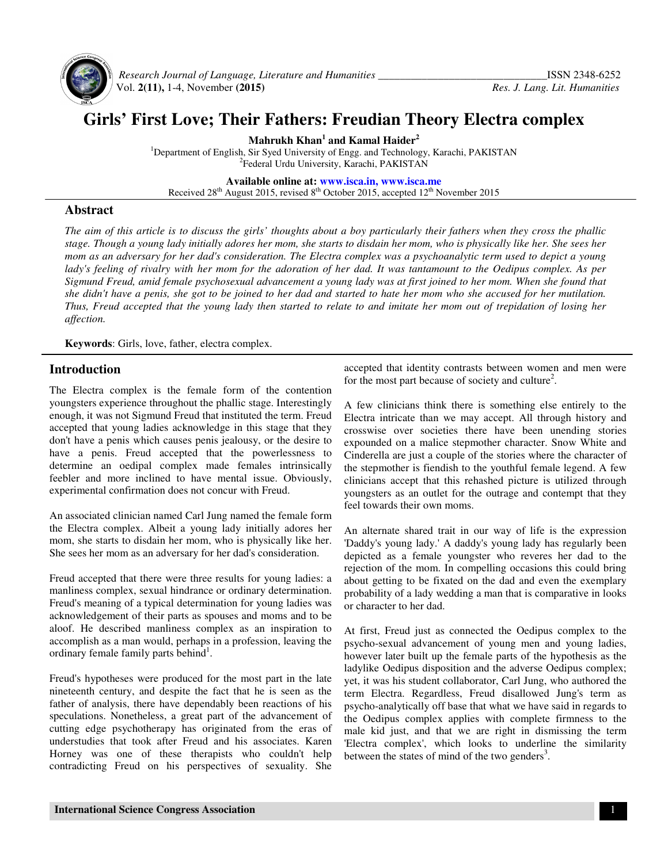

 *Research Journal of Language, Literature and Humanities \_\_\_\_\_\_\_\_\_\_\_\_\_\_\_\_\_\_\_\_\_\_\_\_\_\_\_\_\_\_\_*ISSN 2348-6252 Vol. **2(11),** 1-4, November **(2015)** *Res. J. Lang. Lit. Humanities*

# **Girls' First Love; Their Fathers: Freudian Theory Electra complex**

**Mahrukh Khan<sup>1</sup> and Kamal Haider<sup>2</sup>**

<sup>1</sup>Department of English, Sir Syed University of Engg. and Technology, Karachi, PAKISTAN 2 Federal Urdu University, Karachi, PAKISTAN

**Available online at: www.isca.in, www.isca.me**

Received  $28<sup>th</sup>$  August 2015, revised  $8<sup>th</sup>$  October 2015, accepted  $12<sup>th</sup>$  November 2015

#### **Abstract**

*The aim of this article is to discuss the girls' thoughts about a boy particularly their fathers when they cross the phallic stage. Though a young lady initially adores her mom, she starts to disdain her mom, who is physically like her. She sees her mom as an adversary for her dad's consideration. The Electra complex was a psychoanalytic term used to depict a young*  lady's feeling of rivalry with her mom for the adoration of her dad. It was tantamount to the Oedipus complex. As per *Sigmund Freud, amid female psychosexual advancement a young lady was at first joined to her mom. When she found that she didn't have a penis, she got to be joined to her dad and started to hate her mom who she accused for her mutilation. Thus, Freud accepted that the young lady then started to relate to and imitate her mom out of trepidation of losing her affection.* 

**Keywords**: Girls, love, father, electra complex.

### **Introduction**

The Electra complex is the female form of the contention youngsters experience throughout the phallic stage. Interestingly enough, it was not Sigmund Freud that instituted the term. Freud accepted that young ladies acknowledge in this stage that they don't have a penis which causes penis jealousy, or the desire to have a penis. Freud accepted that the powerlessness to determine an oedipal complex made females intrinsically feebler and more inclined to have mental issue. Obviously, experimental confirmation does not concur with Freud.

An associated clinician named Carl Jung named the female form the Electra complex. Albeit a young lady initially adores her mom, she starts to disdain her mom, who is physically like her. She sees her mom as an adversary for her dad's consideration.

Freud accepted that there were three results for young ladies: a manliness complex, sexual hindrance or ordinary determination. Freud's meaning of a typical determination for young ladies was acknowledgement of their parts as spouses and moms and to be aloof. He described manliness complex as an inspiration to accomplish as a man would, perhaps in a profession, leaving the ordinary female family parts behind<sup>1</sup>.

Freud's hypotheses were produced for the most part in the late nineteenth century, and despite the fact that he is seen as the father of analysis, there have dependably been reactions of his speculations. Nonetheless, a great part of the advancement of cutting edge psychotherapy has originated from the eras of understudies that took after Freud and his associates. Karen Horney was one of these therapists who couldn't help contradicting Freud on his perspectives of sexuality. She accepted that identity contrasts between women and men were for the most part because of society and culture<sup>2</sup>.

A few clinicians think there is something else entirely to the Electra intricate than we may accept. All through history and crosswise over societies there have been unending stories expounded on a malice stepmother character. Snow White and Cinderella are just a couple of the stories where the character of the stepmother is fiendish to the youthful female legend. A few clinicians accept that this rehashed picture is utilized through youngsters as an outlet for the outrage and contempt that they feel towards their own moms.

An alternate shared trait in our way of life is the expression 'Daddy's young lady.' A daddy's young lady has regularly been depicted as a female youngster who reveres her dad to the rejection of the mom. In compelling occasions this could bring about getting to be fixated on the dad and even the exemplary probability of a lady wedding a man that is comparative in looks or character to her dad.

At first, Freud just as connected the Oedipus complex to the psycho-sexual advancement of young men and young ladies, however later built up the female parts of the hypothesis as the ladylike Oedipus disposition and the adverse Oedipus complex; yet, it was his student collaborator, Carl Jung, who authored the term Electra. Regardless, Freud disallowed Jung's term as psycho-analytically off base that what we have said in regards to the Oedipus complex applies with complete firmness to the male kid just, and that we are right in dismissing the term 'Electra complex', which looks to underline the similarity between the states of mind of the two genders<sup>3</sup>.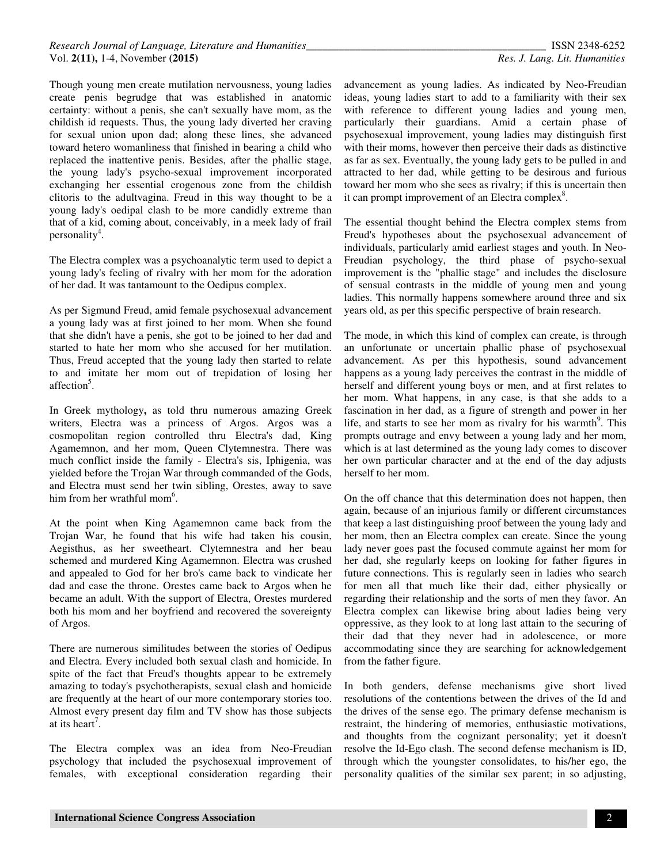Though young men create mutilation nervousness, young ladies create penis begrudge that was established in anatomic certainty: without a penis, she can't sexually have mom, as the childish id requests. Thus, the young lady diverted her craving for sexual union upon dad; along these lines, she advanced toward hetero womanliness that finished in bearing a child who replaced the inattentive penis. Besides, after the phallic stage, the young lady's psycho-sexual improvement incorporated exchanging her essential erogenous zone from the childish clitoris to the adultvagina. Freud in this way thought to be a young lady's oedipal clash to be more candidly extreme than that of a kid, coming about, conceivably, in a meek lady of frail personality<sup>4</sup>.

The Electra complex was a psychoanalytic term used to depict a young lady's feeling of rivalry with her mom for the adoration of her dad. It was tantamount to the Oedipus complex.

As per Sigmund Freud, amid female psychosexual advancement a young lady was at first joined to her mom. When she found that she didn't have a penis, she got to be joined to her dad and started to hate her mom who she accused for her mutilation. Thus, Freud accepted that the young lady then started to relate to and imitate her mom out of trepidation of losing her affection<sup>5</sup>.

In Greek mythology**,** as told thru numerous amazing Greek writers, Electra was a princess of Argos. Argos was a cosmopolitan region controlled thru Electra's dad, King Agamemnon, and her mom, Queen Clytemnestra. There was much conflict inside the family - Electra's sis, Iphigenia, was yielded before the Trojan War through commanded of the Gods, and Electra must send her twin sibling, Orestes, away to save him from her wrathful mom<sup>6</sup>.

At the point when King Agamemnon came back from the Trojan War, he found that his wife had taken his cousin, Aegisthus, as her sweetheart. Clytemnestra and her beau schemed and murdered King Agamemnon. Electra was crushed and appealed to God for her bro's came back to vindicate her dad and case the throne. Orestes came back to Argos when he became an adult. With the support of Electra, Orestes murdered both his mom and her boyfriend and recovered the sovereignty of Argos.

There are numerous similitudes between the stories of Oedipus and Electra. Every included both sexual clash and homicide. In spite of the fact that Freud's thoughts appear to be extremely amazing to today's psychotherapists, sexual clash and homicide are frequently at the heart of our more contemporary stories too. Almost every present day film and TV show has those subjects at its heart<sup>7</sup>.

The Electra complex was an idea from Neo-Freudian psychology that included the psychosexual improvement of females, with exceptional consideration regarding their

advancement as young ladies. As indicated by Neo-Freudian ideas, young ladies start to add to a familiarity with their sex with reference to different young ladies and young men, particularly their guardians. Amid a certain phase of psychosexual improvement, young ladies may distinguish first with their moms, however then perceive their dads as distinctive as far as sex. Eventually, the young lady gets to be pulled in and attracted to her dad, while getting to be desirous and furious toward her mom who she sees as rivalry; if this is uncertain then it can prompt improvement of an Electra complex<sup>8</sup>.

The essential thought behind the Electra complex stems from Freud's hypotheses about the psychosexual advancement of individuals, particularly amid earliest stages and youth. In Neo-Freudian psychology, the third phase of psycho-sexual improvement is the "phallic stage" and includes the disclosure of sensual contrasts in the middle of young men and young ladies. This normally happens somewhere around three and six years old, as per this specific perspective of brain research.

The mode, in which this kind of complex can create, is through an unfortunate or uncertain phallic phase of psychosexual advancement. As per this hypothesis, sound advancement happens as a young lady perceives the contrast in the middle of herself and different young boys or men, and at first relates to her mom. What happens, in any case, is that she adds to a fascination in her dad, as a figure of strength and power in her life, and starts to see her mom as rivalry for his warmth<sup>9</sup>. This prompts outrage and envy between a young lady and her mom, which is at last determined as the young lady comes to discover her own particular character and at the end of the day adjusts herself to her mom.

On the off chance that this determination does not happen, then again, because of an injurious family or different circumstances that keep a last distinguishing proof between the young lady and her mom, then an Electra complex can create. Since the young lady never goes past the focused commute against her mom for her dad, she regularly keeps on looking for father figures in future connections. This is regularly seen in ladies who search for men all that much like their dad, either physically or regarding their relationship and the sorts of men they favor. An Electra complex can likewise bring about ladies being very oppressive, as they look to at long last attain to the securing of their dad that they never had in adolescence, or more accommodating since they are searching for acknowledgement from the father figure.

In both genders, defense mechanisms give short lived resolutions of the contentions between the drives of the Id and the drives of the sense ego. The primary defense mechanism is restraint, the hindering of memories, enthusiastic motivations, and thoughts from the cognizant personality; yet it doesn't resolve the Id-Ego clash. The second defense mechanism is ID, through which the youngster consolidates, to his/her ego, the personality qualities of the similar sex parent; in so adjusting,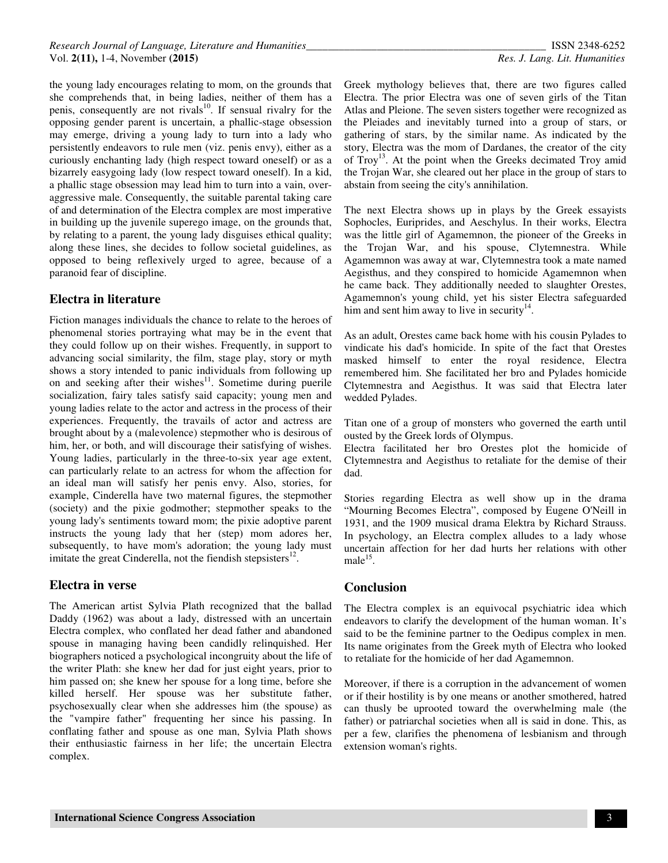the young lady encourages relating to mom, on the grounds that she comprehends that, in being ladies, neither of them has a penis, consequently are not rivals<sup>10</sup>. If sensual rivalry for the opposing gender parent is uncertain, a phallic-stage obsession may emerge, driving a young lady to turn into a lady who persistently endeavors to rule men (viz. penis envy), either as a curiously enchanting lady (high respect toward oneself) or as a bizarrely easygoing lady (low respect toward oneself). In a kid, a phallic stage obsession may lead him to turn into a vain, overaggressive male. Consequently, the suitable parental taking care of and determination of the Electra complex are most imperative in building up the juvenile superego image, on the grounds that, by relating to a parent, the young lady disguises ethical quality; along these lines, she decides to follow societal guidelines, as opposed to being reflexively urged to agree, because of a paranoid fear of discipline.

# **Electra in literature**

Fiction manages individuals the chance to relate to the heroes of phenomenal stories portraying what may be in the event that they could follow up on their wishes. Frequently, in support to advancing social similarity, the film, stage play, story or myth shows a story intended to panic individuals from following up on and seeking after their wishes<sup>11</sup>. Sometime during puerile socialization, fairy tales satisfy said capacity; young men and young ladies relate to the actor and actress in the process of their experiences. Frequently, the travails of actor and actress are brought about by a (malevolence) stepmother who is desirous of him, her, or both, and will discourage their satisfying of wishes. Young ladies, particularly in the three-to-six year age extent, can particularly relate to an actress for whom the affection for an ideal man will satisfy her penis envy. Also, stories, for example, Cinderella have two maternal figures, the stepmother (society) and the pixie godmother; stepmother speaks to the young lady's sentiments toward mom; the pixie adoptive parent instructs the young lady that her (step) mom adores her, subsequently, to have mom's adoration; the young lady must imitate the great Cinderella, not the fiendish stepsisters $^{12}$ .

# **Electra in verse**

The American artist Sylvia Plath recognized that the ballad Daddy (1962) was about a lady, distressed with an uncertain Electra complex, who conflated her dead father and abandoned spouse in managing having been candidly relinquished. Her biographers noticed a psychological incongruity about the life of the writer Plath: she knew her dad for just eight years, prior to him passed on; she knew her spouse for a long time, before she killed herself. Her spouse was her substitute father, psychosexually clear when she addresses him (the spouse) as the "vampire father" frequenting her since his passing. In conflating father and spouse as one man, Sylvia Plath shows their enthusiastic fairness in her life; the uncertain Electra complex.

Greek mythology believes that, there are two figures called Electra. The prior Electra was one of seven girls of the Titan Atlas and Pleione. The seven sisters together were recognized as the Pleiades and inevitably turned into a group of stars, or gathering of stars, by the similar name. As indicated by the story, Electra was the mom of Dardanes, the creator of the city of  $Troy<sup>13</sup>$ . At the point when the Greeks decimated Troy amid the Trojan War, she cleared out her place in the group of stars to abstain from seeing the city's annihilation.

The next Electra shows up in plays by the Greek essayists Sophocles, Euriprides, and Aeschylus. In their works, Electra was the little girl of Agamemnon, the pioneer of the Greeks in the Trojan War, and his spouse, Clytemnestra. While Agamemnon was away at war, Clytemnestra took a mate named Aegisthus, and they conspired to homicide Agamemnon when he came back. They additionally needed to slaughter Orestes, Agamemnon's young child, yet his sister Electra safeguarded him and sent him away to live in security $14$ .

As an adult, Orestes came back home with his cousin Pylades to vindicate his dad's homicide. In spite of the fact that Orestes masked himself to enter the royal residence, Electra remembered him. She facilitated her bro and Pylades homicide Clytemnestra and Aegisthus. It was said that Electra later wedded Pylades.

Titan one of a group of monsters who governed the earth until ousted by the Greek lords of Olympus.

Electra facilitated her bro Orestes plot the homicide of Clytemnestra and Aegisthus to retaliate for the demise of their dad.

Stories regarding Electra as well show up in the drama "Mourning Becomes Electra", composed by Eugene O'Neill in 1931, and the 1909 musical drama Elektra by Richard Strauss. In psychology, an Electra complex alludes to a lady whose uncertain affection for her dad hurts her relations with other male $^{15}$ .

#### **Conclusion**

The Electra complex is an equivocal psychiatric idea which endeavors to clarify the development of the human woman. It's said to be the feminine partner to the Oedipus complex in men. Its name originates from the Greek myth of Electra who looked to retaliate for the homicide of her dad Agamemnon.

Moreover, if there is a corruption in the advancement of women or if their hostility is by one means or another smothered, hatred can thusly be uprooted toward the overwhelming male (the father) or patriarchal societies when all is said in done. This, as per a few, clarifies the phenomena of lesbianism and through extension woman's rights.